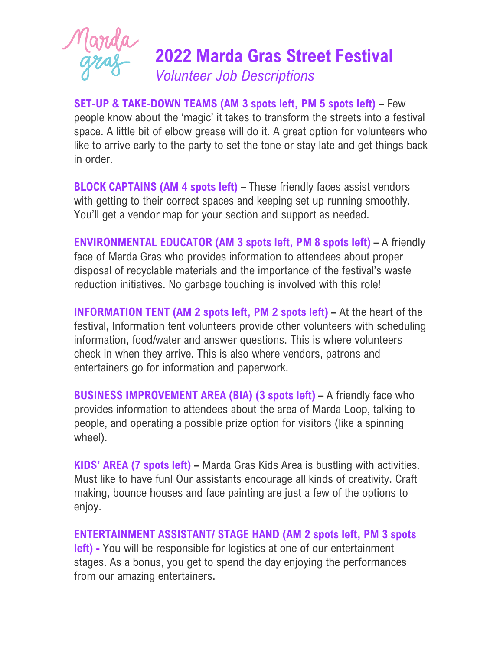

**SET-UP & TAKE-DOWN TEAMS (AM 3 spots left, PM 5 spots left)** – Few people know about the 'magic' it takes to transform the streets into a festival space. A little bit of elbow grease will do it. A great option for volunteers who like to arrive early to the party to set the tone or stay late and get things back in order.

**BLOCK CAPTAINS (AM 4 spots left) –** These friendly faces assist vendors with getting to their correct spaces and keeping set up running smoothly. You'll get a vendor map for your section and support as needed.

**ENVIRONMENTAL EDUCATOR (AM 3 spots left, PM 8 spots left) –** A friendly face of Marda Gras who provides information to attendees about proper disposal of recyclable materials and the importance of the festival's waste reduction initiatives. No garbage touching is involved with this role!

**INFORMATION TENT (AM 2 spots left, PM 2 spots left) –** At the heart of the festival, Information tent volunteers provide other volunteers with scheduling information, food/water and answer questions. This is where volunteers check in when they arrive. This is also where vendors, patrons and entertainers go for information and paperwork.

**BUSINESS IMPROVEMENT AREA (BIA) (3 spots left) –** A friendly face who provides information to attendees about the area of Marda Loop, talking to people, and operating a possible prize option for visitors (like a spinning wheel).

**KIDS' AREA (7 spots left) –** Marda Gras Kids Area is bustling with activities. Must like to have fun! Our assistants encourage all kinds of creativity. Craft making, bounce houses and face painting are just a few of the options to enjoy.

**ENTERTAINMENT ASSISTANT/ STAGE HAND (AM 2 spots left, PM 3 spots left) -** You will be responsible for logistics at one of our entertainment stages. As a bonus, you get to spend the day enjoying the performances from our amazing entertainers.